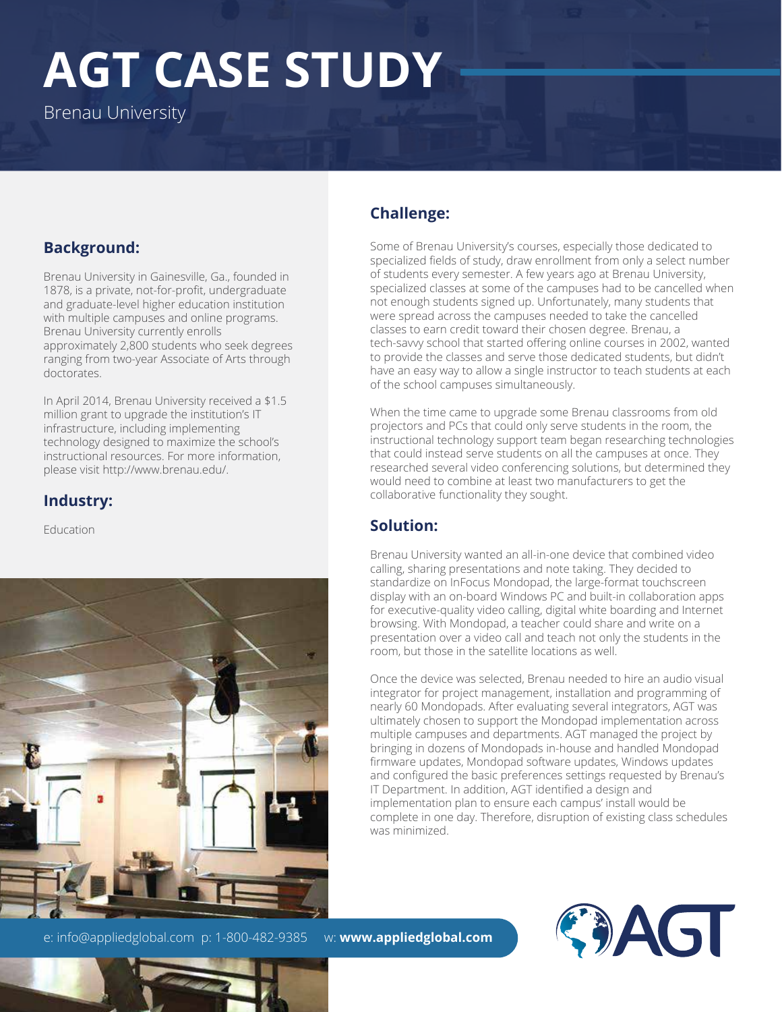# **AGT CASE STUDY**

Brenau University

#### **Background:**

Brenau University in Gainesville, Ga., founded in 1878, is a private, not-for-profit, undergraduate and graduate-level higher education institution with multiple campuses and online programs. Brenau University currently enrolls approximately 2,800 students who seek degrees ranging from two-year Associate of Arts through doctorates.

In April 2014, Brenau University received a \$1.5 million grant to upgrade the institution's IT infrastructure, including implementing technology designed to maximize the school's instructional resources. For more information, please visit http://www.brenau.edu/.

### **Industry:**

**Education** 



e: info@appliedglobal.com p: 1-800-482-9385 w: www.appliedglobal.com

**Challenge:**

Some of Brenau University's courses, especially those dedicated to specialized fields of study, draw enrollment from only a select number of students every semester. A few years ago at Brenau University, specialized classes at some of the campuses had to be cancelled when not enough students signed up. Unfortunately, many students that were spread across the campuses needed to take the cancelled classes to earn credit toward their chosen degree. Brenau, a tech-savvy school that started offering online courses in 2002, wanted to provide the classes and serve those dedicated students, but didn't have an easy way to allow a single instructor to teach students at each of the school campuses simultaneously.

When the time came to upgrade some Brenau classrooms from old projectors and PCs that could only serve students in the room, the instructional technology support team began researching technologies that could instead serve students on all the campuses at once. They researched several video conferencing solutions, but determined they would need to combine at least two manufacturers to get the collaborative functionality they sought.

#### **Solution:**

Brenau University wanted an all-in-one device that combined video calling, sharing presentations and note taking. They decided to standardize on InFocus Mondopad, the large-format touchscreen display with an on-board Windows PC and built-in collaboration apps for executive-quality video calling, digital white boarding and Internet browsing. With Mondopad, a teacher could share and write on a presentation over a video call and teach not only the students in the room, but those in the satellite locations as well.

Once the device was selected, Brenau needed to hire an audio visual integrator for project management, installation and programming of nearly 60 Mondopads. After evaluating several integrators, AGT was ultimately chosen to support the Mondopad implementation across multiple campuses and departments. AGT managed the project by bringing in dozens of Mondopads in-house and handled Mondopad firmware updates, Mondopad software updates, Windows updates and configured the basic preferences settings requested by Brenau's IT Department. In addition, AGT identified a design and implementation plan to ensure each campus' install would be complete in one day. Therefore, disruption of existing class schedules was minimized.



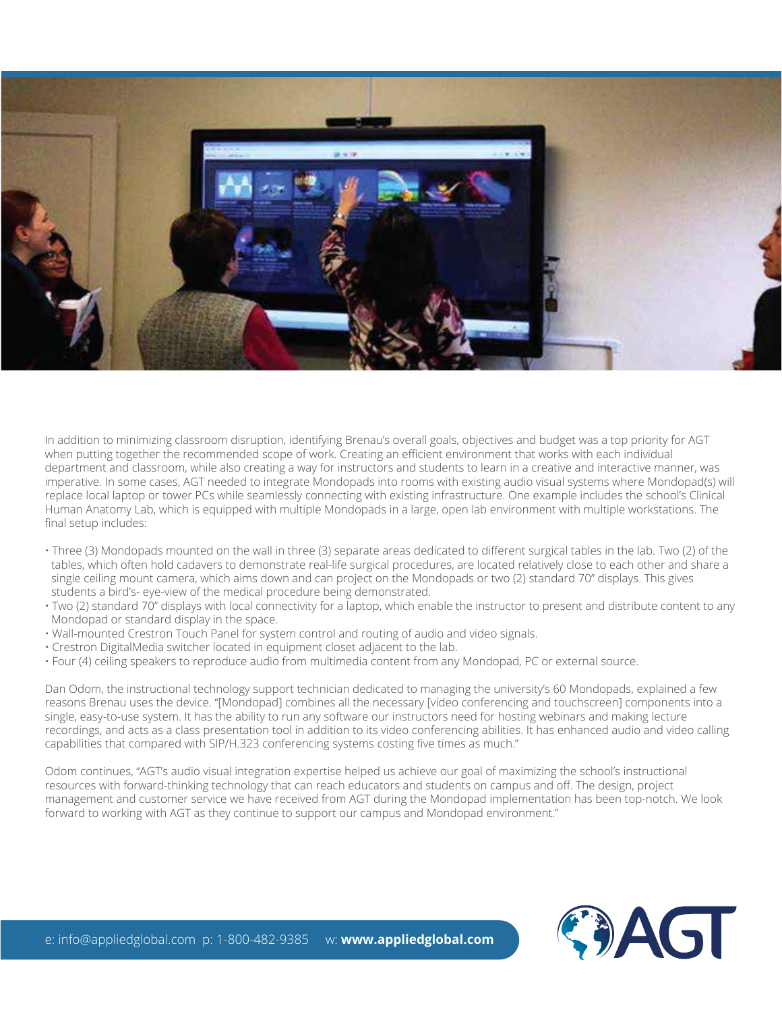

In addition to minimizing classroom disruption, identifying Brenau's overall goals, objectives and budget was a top priority for AGT when putting together the recommended scope of work. Creating an efficient environment that works with each individual department and classroom, while also creating a way for instructors and students to learn in a creative and interactive manner, was imperative. In some cases, AGT needed to integrate Mondopads into rooms with existing audio visual systems where Mondopad(s) will replace local laptop or tower PCs while seamlessly connecting with existing infrastructure. One example includes the school's Clinical Human Anatomy Lab, which is equipped with multiple Mondopads in a large, open lab environment with multiple workstations. The final setup includes:

- Three (3) Mondopads mounted on the wall in three (3) separate areas dedicated to different surgical tables in the lab. Two (2) of the tables, which often hold cadavers to demonstrate real-life surgical procedures, are located relatively close to each other and share a single ceiling mount camera, which aims down and can project on the Mondopads or two (2) standard 70" displays. This gives students a bird's- eye-view of the medical procedure being demonstrated.
- Two (2) standard 70" displays with local connectivity for a laptop, which enable the instructor to present and distribute content to any Mondopad or standard display in the space.
- Wall-mounted Crestron Touch Panel for system control and routing of audio and video signals.
- Crestron DigitalMedia switcher located in equipment closet adjacent to the lab.
- Four (4) ceiling speakers to reproduce audio from multimedia content from any Mondopad, PC or external source.

Dan Odom, the instructional technology support technician dedicated to managing the university's 60 Mondopads, explained a few reasons Brenau uses the device. "[Mondopad] combines all the necessary [video conferencing and touchscreen] components into a single, easy-to-use system. It has the ability to run any software our instructors need for hosting webinars and making lecture recordings, and acts as a class presentation tool in addition to its video conferencing abilities. It has enhanced audio and video calling capabilities that compared with SIP/H.323 conferencing systems costing five times as much."

Odom continues, "AGT's audio visual integration expertise helped us achieve our goal of maximizing the school's instructional resources with forward-thinking technology that can reach educators and students on campus and off. The design, project management and customer service we have received from AGT during the Mondopad implementation has been top-notch. We look forward to working with AGT as they continue to support our campus and Mondopad environment."